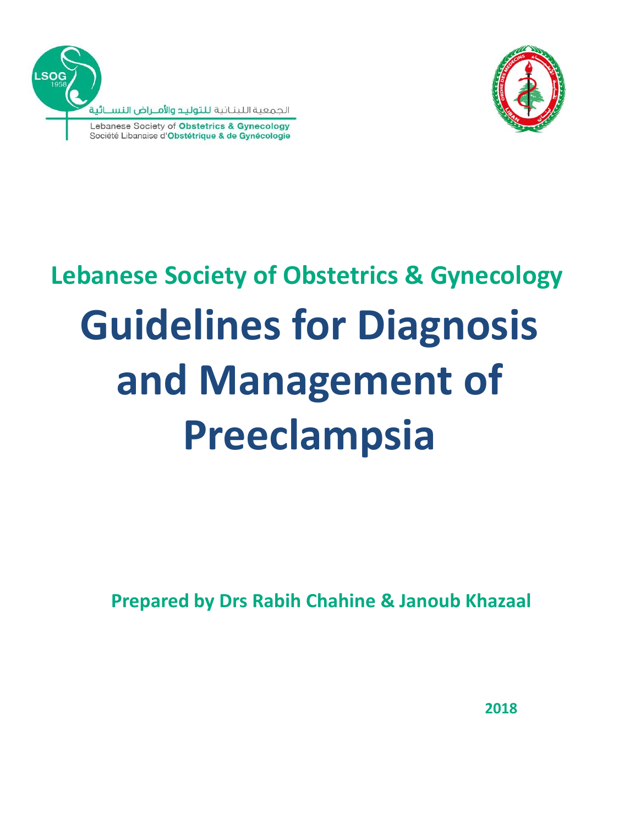



# **Guidelines for Diagnosis and Management of Preeclampsia Lebanese Society of Obstetrics & Gynecology**

**Prepared by Drs Rabih Chahine & Janoub Khazaal**

**2018**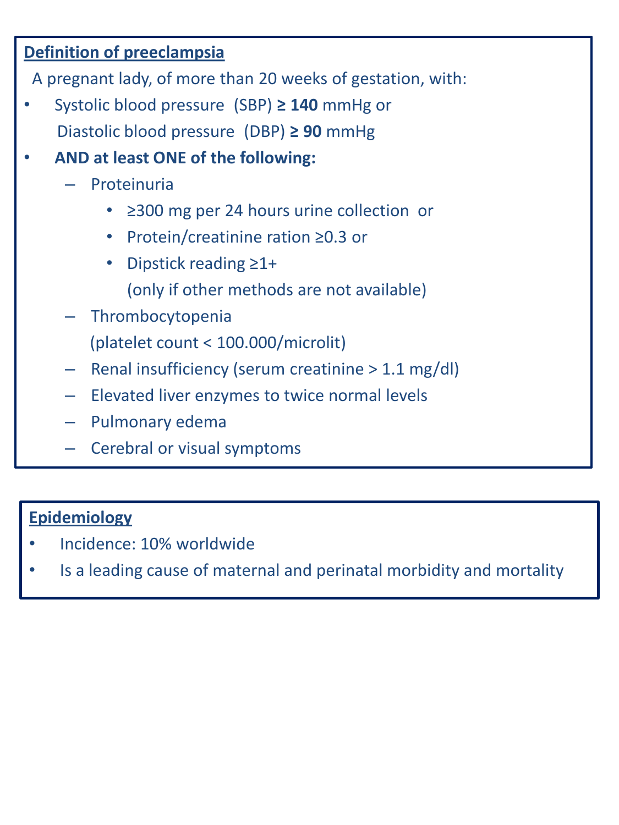## **Definition of preeclampsia**

A pregnant lady, of more than 20 weeks of gestation, with:

- Systolic blood pressure (SBP) **≥ 140** mmHg or Diastolic blood pressure (DBP) **≥ 90** mmHg
- **AND at least ONE of the following:**
	- Proteinuria
		- ≥300 mg per 24 hours urine collection or
		- Protein/creatinine ration ≥0.3 or
		- Dipstick reading ≥1+ (only if other methods are not available)
	- Thrombocytopenia

(platelet count < 100.000/microlit)

- Renal insufficiency (serum creatinine > 1.1 mg/dl)
- Elevated liver enzymes to twice normal levels
- Pulmonary edema
- Cerebral or visual symptoms

## **Epidemiology**

- Incidence: 10% worldwide
- Is a leading cause of maternal and perinatal morbidity and mortality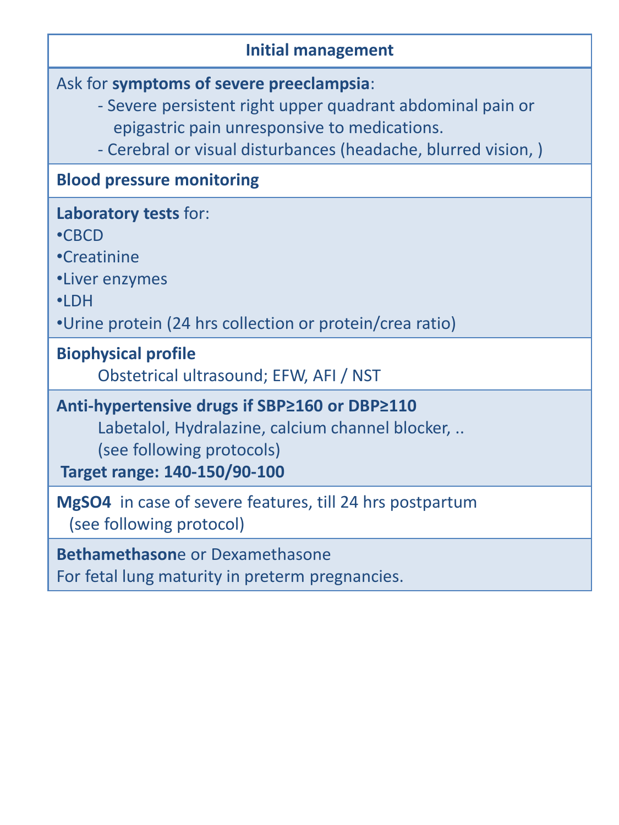## **Initial management**

Ask for **symptoms of severe preeclampsia**:

- Severe persistent right upper quadrant abdominal pain or epigastric pain unresponsive to medications.
- Cerebral or visual disturbances (headache, blurred vision, )

## **Blood pressure monitoring**

| Laboratory tests for:                                                                                                                                          |
|----------------------------------------------------------------------------------------------------------------------------------------------------------------|
| $\cdot$ CBCD                                                                                                                                                   |
| •Creatinine                                                                                                                                                    |
| •Liver enzymes                                                                                                                                                 |
| $\cdot$ LDH                                                                                                                                                    |
| •Urine protein (24 hrs collection or protein/crea ratio)                                                                                                       |
| <b>Biophysical profile</b><br>Obstetrical ultrasound; EFW, AFI / NST                                                                                           |
| Anti-hypertensive drugs if SBP≥160 or DBP≥110<br>Labetalol, Hydralazine, calcium channel blocker,<br>(see following protocols)<br>Target range: 140-150/90-100 |
| <b>MgSO4</b> in case of severe features, till 24 hrs postpartum<br>(see following protocol)                                                                    |

**Bethamethason**e or Dexamethasone

For fetal lung maturity in preterm pregnancies.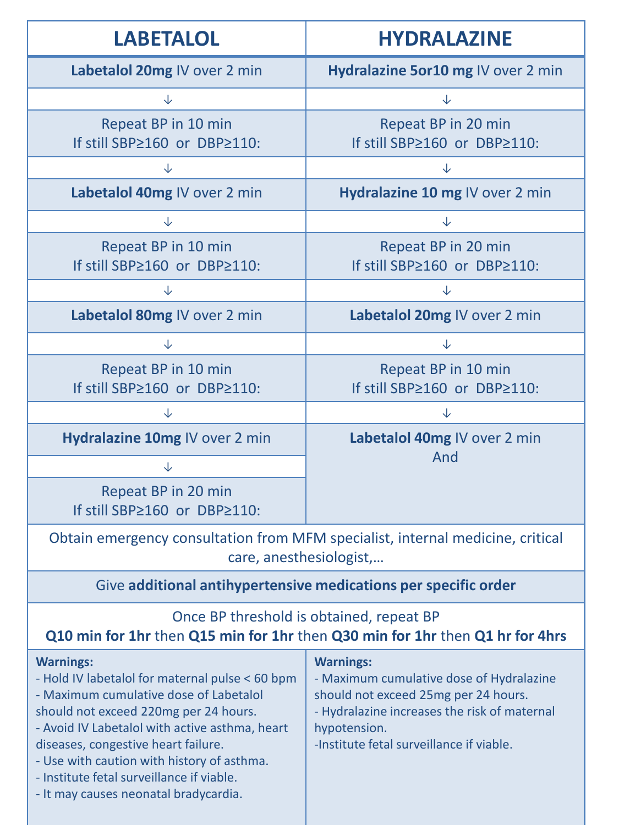| <b>LABETALOL</b>                                                                                                                                                                                                                                                                                                                                                                    | <b>HYDRALAZINE</b>                                                                                                                                                                                               |  |
|-------------------------------------------------------------------------------------------------------------------------------------------------------------------------------------------------------------------------------------------------------------------------------------------------------------------------------------------------------------------------------------|------------------------------------------------------------------------------------------------------------------------------------------------------------------------------------------------------------------|--|
| Labetalol 20mg IV over 2 min                                                                                                                                                                                                                                                                                                                                                        | Hydralazine 5or10 mg IV over 2 min                                                                                                                                                                               |  |
| $\downarrow$                                                                                                                                                                                                                                                                                                                                                                        | $\downarrow$                                                                                                                                                                                                     |  |
| Repeat BP in 10 min<br>If still SBP≥160 or DBP≥110:                                                                                                                                                                                                                                                                                                                                 | Repeat BP in 20 min<br>If still SBP≥160 or DBP≥110:                                                                                                                                                              |  |
| $\downarrow$                                                                                                                                                                                                                                                                                                                                                                        | $\downarrow$                                                                                                                                                                                                     |  |
| Labetalol 40mg IV over 2 min                                                                                                                                                                                                                                                                                                                                                        | Hydralazine 10 mg IV over 2 min                                                                                                                                                                                  |  |
| $\downarrow$                                                                                                                                                                                                                                                                                                                                                                        | $\downarrow$                                                                                                                                                                                                     |  |
| Repeat BP in 10 min<br>If still SBP≥160 or DBP≥110:                                                                                                                                                                                                                                                                                                                                 | Repeat BP in 20 min<br>If still SBP≥160 or DBP≥110:                                                                                                                                                              |  |
| $\downarrow$                                                                                                                                                                                                                                                                                                                                                                        | $\downarrow$                                                                                                                                                                                                     |  |
| Labetalol 80mg IV over 2 min                                                                                                                                                                                                                                                                                                                                                        | Labetalol 20mg IV over 2 min                                                                                                                                                                                     |  |
| $\downarrow$                                                                                                                                                                                                                                                                                                                                                                        | $\downarrow$                                                                                                                                                                                                     |  |
| Repeat BP in 10 min<br>If still SBP≥160 or DBP≥110:                                                                                                                                                                                                                                                                                                                                 | Repeat BP in 10 min<br>If still SBP≥160 or DBP≥110:                                                                                                                                                              |  |
| $\downarrow$                                                                                                                                                                                                                                                                                                                                                                        | $\downarrow$                                                                                                                                                                                                     |  |
| Hydralazine 10mg IV over 2 min                                                                                                                                                                                                                                                                                                                                                      | Labetalol 40mg IV over 2 min<br>And                                                                                                                                                                              |  |
| $\downarrow$                                                                                                                                                                                                                                                                                                                                                                        |                                                                                                                                                                                                                  |  |
| Repeat BP in 20 min<br>If still SBP≥160 or DBP≥110:                                                                                                                                                                                                                                                                                                                                 |                                                                                                                                                                                                                  |  |
| Obtain emergency consultation from MFM specialist, internal medicine, critical<br>care, anesthesiologist,                                                                                                                                                                                                                                                                           |                                                                                                                                                                                                                  |  |
| Give additional antihypertensive medications per specific order                                                                                                                                                                                                                                                                                                                     |                                                                                                                                                                                                                  |  |
| Once BP threshold is obtained, repeat BP<br>Q10 min for 1hr then Q15 min for 1hr then Q30 min for 1hr then Q1 hr for 4hrs                                                                                                                                                                                                                                                           |                                                                                                                                                                                                                  |  |
| <b>Warnings:</b><br>- Hold IV labetalol for maternal pulse < 60 bpm<br>- Maximum cumulative dose of Labetalol<br>should not exceed 220mg per 24 hours.<br>- Avoid IV Labetalol with active asthma, heart<br>diseases, congestive heart failure.<br>- Use with caution with history of asthma.<br>- Institute fetal surveillance if viable.<br>- It may causes neonatal bradycardia. | <b>Warnings:</b><br>- Maximum cumulative dose of Hydralazine<br>should not exceed 25mg per 24 hours.<br>- Hydralazine increases the risk of maternal<br>hypotension.<br>-Institute fetal surveillance if viable. |  |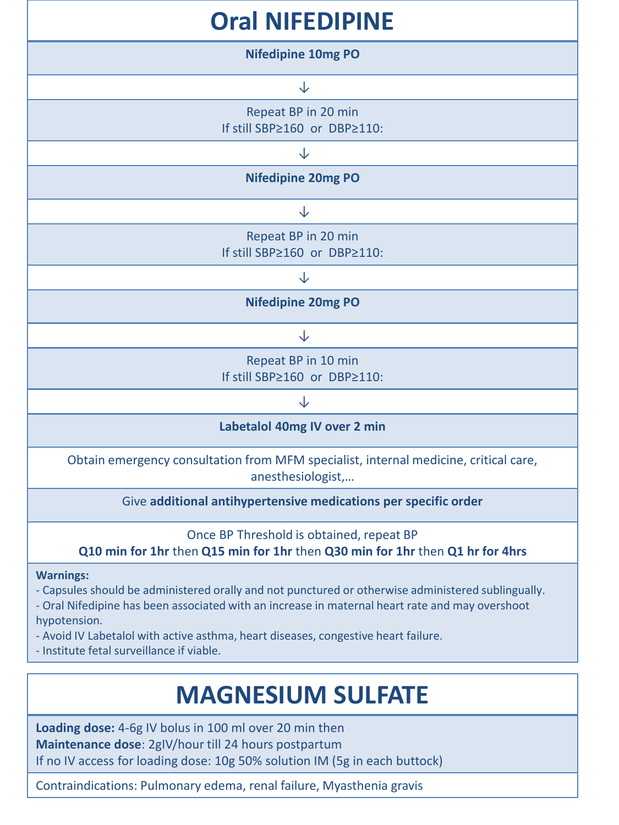| <b>Oral NIFEDIPINE</b>                                                                                                                                                                                                                                                                                                                                                       |  |  |
|------------------------------------------------------------------------------------------------------------------------------------------------------------------------------------------------------------------------------------------------------------------------------------------------------------------------------------------------------------------------------|--|--|
| <b>Nifedipine 10mg PO</b>                                                                                                                                                                                                                                                                                                                                                    |  |  |
| ↓                                                                                                                                                                                                                                                                                                                                                                            |  |  |
| Repeat BP in 20 min<br>If still SBP≥160 or DBP≥110:                                                                                                                                                                                                                                                                                                                          |  |  |
| $\downarrow$                                                                                                                                                                                                                                                                                                                                                                 |  |  |
| <b>Nifedipine 20mg PO</b>                                                                                                                                                                                                                                                                                                                                                    |  |  |
| ↓                                                                                                                                                                                                                                                                                                                                                                            |  |  |
| Repeat BP in 20 min<br>If still SBP≥160 or DBP≥110:                                                                                                                                                                                                                                                                                                                          |  |  |
| ↓                                                                                                                                                                                                                                                                                                                                                                            |  |  |
| <b>Nifedipine 20mg PO</b>                                                                                                                                                                                                                                                                                                                                                    |  |  |
| ↓                                                                                                                                                                                                                                                                                                                                                                            |  |  |
| Repeat BP in 10 min<br>If still SBP≥160 or DBP≥110:                                                                                                                                                                                                                                                                                                                          |  |  |
| ↓                                                                                                                                                                                                                                                                                                                                                                            |  |  |
| Labetalol 40mg IV over 2 min                                                                                                                                                                                                                                                                                                                                                 |  |  |
| Obtain emergency consultation from MFM specialist, internal medicine, critical care,<br>anesthesiologist,                                                                                                                                                                                                                                                                    |  |  |
| Give additional antihypertensive medications per specific order                                                                                                                                                                                                                                                                                                              |  |  |
| Once BP Threshold is obtained, repeat BP<br>Q10 min for 1hr then Q15 min for 1hr then Q30 min for 1hr then Q1 hr for 4hrs                                                                                                                                                                                                                                                    |  |  |
| <b>Warnings:</b><br>- Capsules should be administered orally and not punctured or otherwise administered sublingually.<br>- Oral Nifedipine has been associated with an increase in maternal heart rate and may overshoot<br>hypotension.<br>- Avoid IV Labetalol with active asthma, heart diseases, congestive heart failure.<br>- Institute fetal surveillance if viable. |  |  |

## **MAGNESIUM SULFATE**

**Loading dose:** 4-6g IV bolus in 100 ml over 20 min then **Maintenance dose**: 2gIV/hour till 24 hours postpartum If no IV access for loading dose: 10g 50% solution IM (5g in each buttock)

Contraindications: Pulmonary edema, renal failure, Myasthenia gravis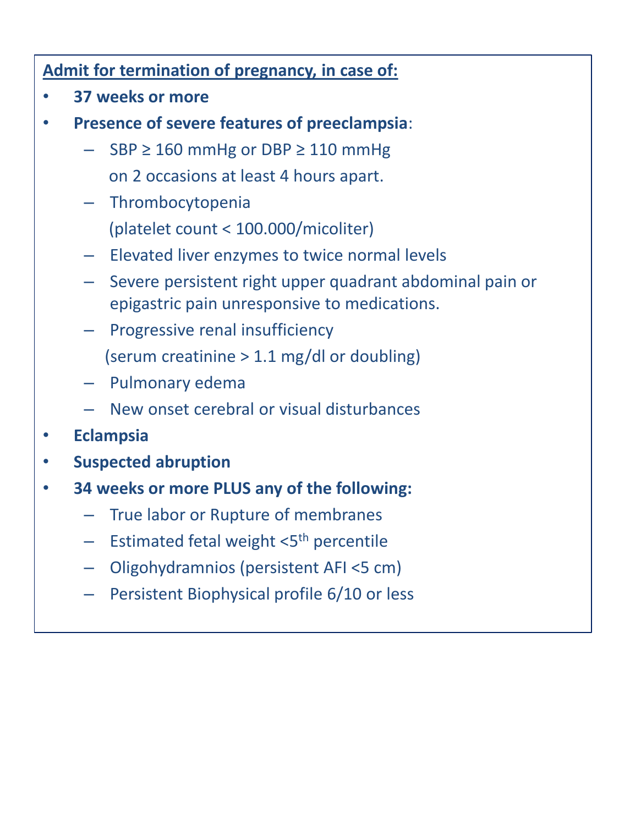## **Admit for termination of pregnancy, in case of:**

- **37 weeks or more**
- **Presence of severe features of preeclampsia**:
	- $SBP \geq 160$  mmHg or DBP  $\geq 110$  mmHg on 2 occasions at least 4 hours apart.
	- Thrombocytopenia (platelet count < 100.000/micoliter)
	- Elevated liver enzymes to twice normal levels
	- Severe persistent right upper quadrant abdominal pain or epigastric pain unresponsive to medications.
	- Progressive renal insufficiency
		- (serum creatinine > 1.1 mg/dl or doubling)
	- Pulmonary edema
	- New onset cerebral or visual disturbances
- **Eclampsia**
- **Suspected abruption**
- **34 weeks or more PLUS any of the following:**
	- True labor or Rupture of membranes
	- Estimated fetal weight <5<sup>th</sup> percentile
	- Oligohydramnios (persistent AFI <5 cm)
	- Persistent Biophysical profile 6/10 or less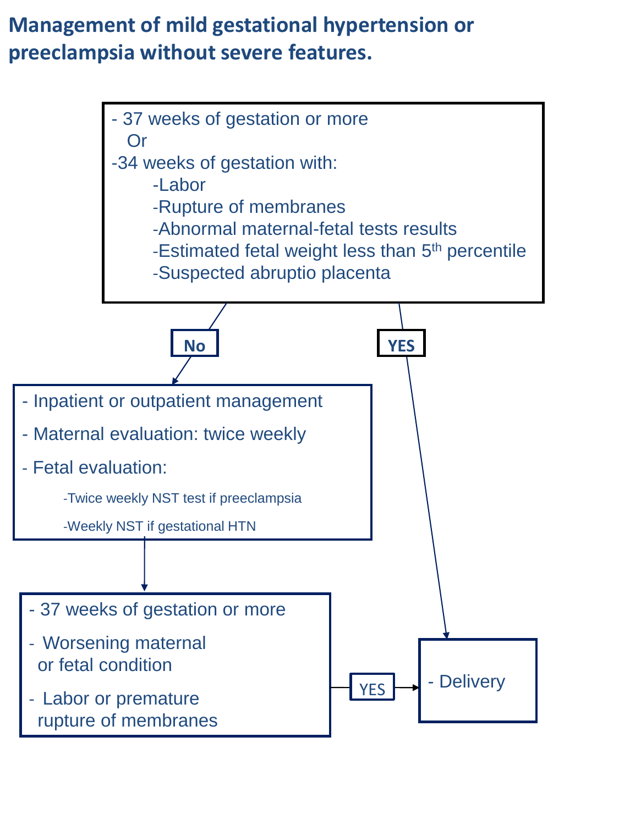## **Management of mild gestational hypertension or preeclampsia without severe features.**

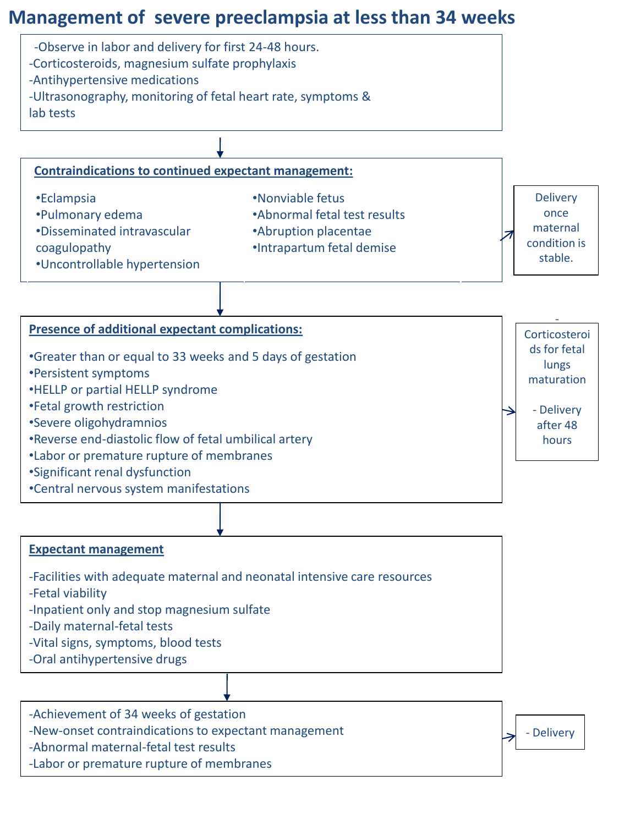## **Management of severe preeclampsia at less than 34 weeks**